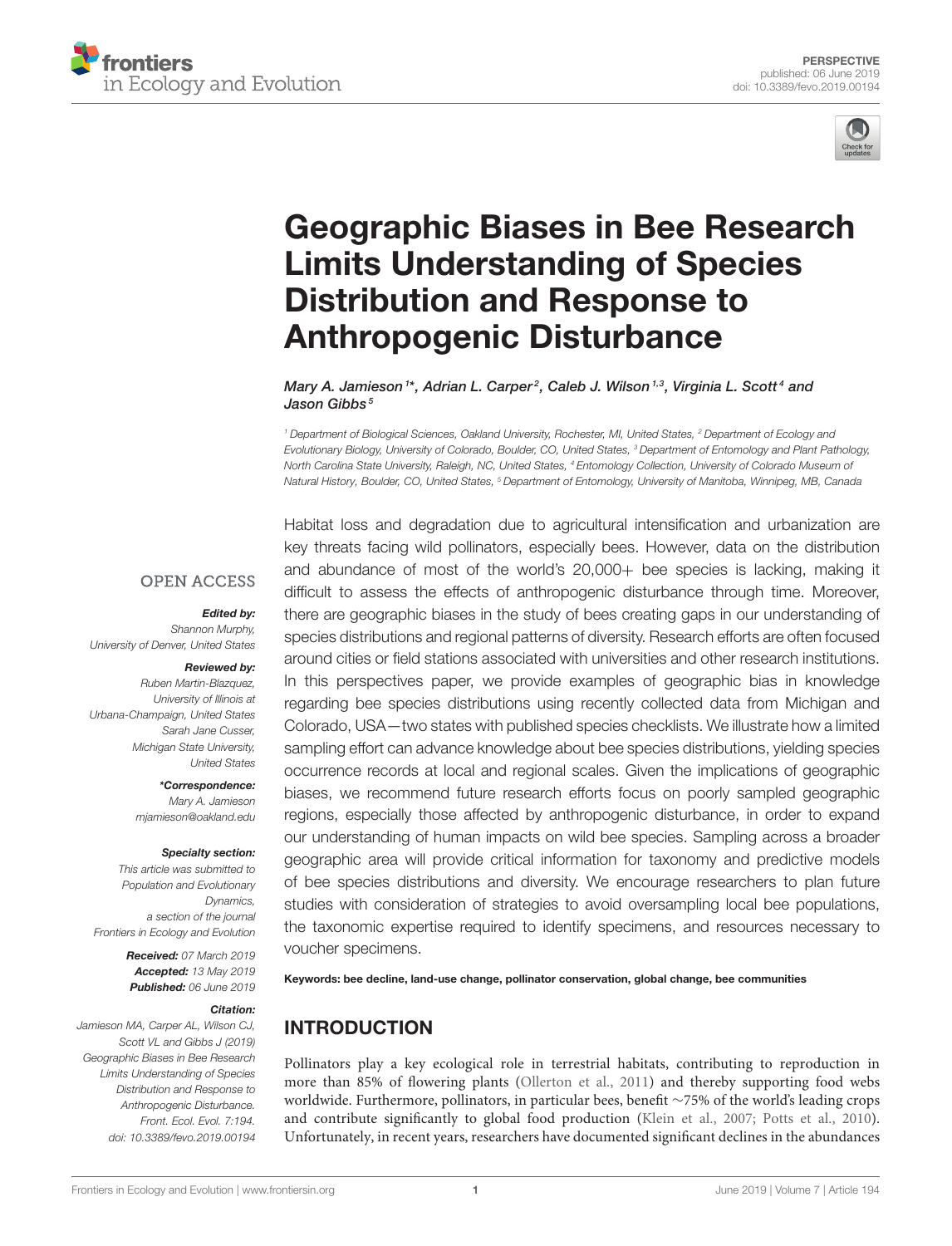



# [Geographic Biases in Bee Research](https://www.frontiersin.org/articles/10.3389/fevo.2019.00194/full) Limits Understanding of Species Distribution and Response to Anthropogenic Disturbance

[Mary A. Jamieson](http://loop.frontiersin.org/people/218831/overview)<sup>1\*</sup>, Adrian L. Carper<sup>2</sup>, [Caleb J. Wilson](http://loop.frontiersin.org/people/714307/overview)<sup>1,3</sup>, Virginia L. Scott<sup>4</sup> and [Jason Gibbs](http://loop.frontiersin.org/people/41758/overview)<sup>5</sup>

*<sup>1</sup> Department of Biological Sciences, Oakland University, Rochester, MI, United States, <sup>2</sup> Department of Ecology and Evolutionary Biology, University of Colorado, Boulder, CO, United States, <sup>3</sup> Department of Entomology and Plant Pathology, North Carolina State University, Raleigh, NC, United States, <sup>4</sup> Entomology Collection, University of Colorado Museum of Natural History, Boulder, CO, United States, <sup>5</sup> Department of Entomology, University of Manitoba, Winnipeg, MB, Canada*

#### **OPEN ACCESS**

#### Edited by:

*Shannon Murphy, University of Denver, United States*

#### Reviewed by:

*Ruben Martin-Blazquez, University of Illinois at Urbana-Champaign, United States Sarah Jane Cusser, Michigan State University, United States*

> \*Correspondence: *Mary A. Jamieson [mjamieson@oakland.edu](mailto:mjamieson@oakland.edu)*

#### Specialty section:

*This article was submitted to Population and Evolutionary Dynamics, a section of the journal Frontiers in Ecology and Evolution*

> Received: *07 March 2019* Accepted: *13 May 2019* Published: *06 June 2019*

#### Citation:

*Jamieson MA, Carper AL, Wilson CJ, Scott VL and Gibbs J (2019) Geographic Biases in Bee Research Limits Understanding of Species Distribution and Response to Anthropogenic Disturbance. Front. Ecol. Evol. 7:194. doi: [10.3389/fevo.2019.00194](https://doi.org/10.3389/fevo.2019.00194)* Habitat loss and degradation due to agricultural intensification and urbanization are key threats facing wild pollinators, especially bees. However, data on the distribution and abundance of most of the world's 20,000+ bee species is lacking, making it difficult to assess the effects of anthropogenic disturbance through time. Moreover, there are geographic biases in the study of bees creating gaps in our understanding of species distributions and regional patterns of diversity. Research efforts are often focused around cities or field stations associated with universities and other research institutions. In this perspectives paper, we provide examples of geographic bias in knowledge regarding bee species distributions using recently collected data from Michigan and Colorado, USA—two states with published species checklists. We illustrate how a limited sampling effort can advance knowledge about bee species distributions, yielding species occurrence records at local and regional scales. Given the implications of geographic biases, we recommend future research efforts focus on poorly sampled geographic regions, especially those affected by anthropogenic disturbance, in order to expand our understanding of human impacts on wild bee species. Sampling across a broader geographic area will provide critical information for taxonomy and predictive models of bee species distributions and diversity. We encourage researchers to plan future studies with consideration of strategies to avoid oversampling local bee populations, the taxonomic expertise required to identify specimens, and resources necessary to voucher specimens.

Keywords: bee decline, land-use change, pollinator conservation, global change, bee communities

### INTRODUCTION

Pollinators play a key ecological role in terrestrial habitats, contributing to reproduction in more than 85% of flowering plants [\(Ollerton et al., 2011\)](#page-7-0) and thereby supporting food webs worldwide. Furthermore, pollinators, in particular bees, benefit ∼75% of the world's leading crops and contribute significantly to global food production [\(Klein et al., 2007;](#page-6-0) [Potts et al., 2010\)](#page-7-1). Unfortunately, in recent years, researchers have documented significant declines in the abundances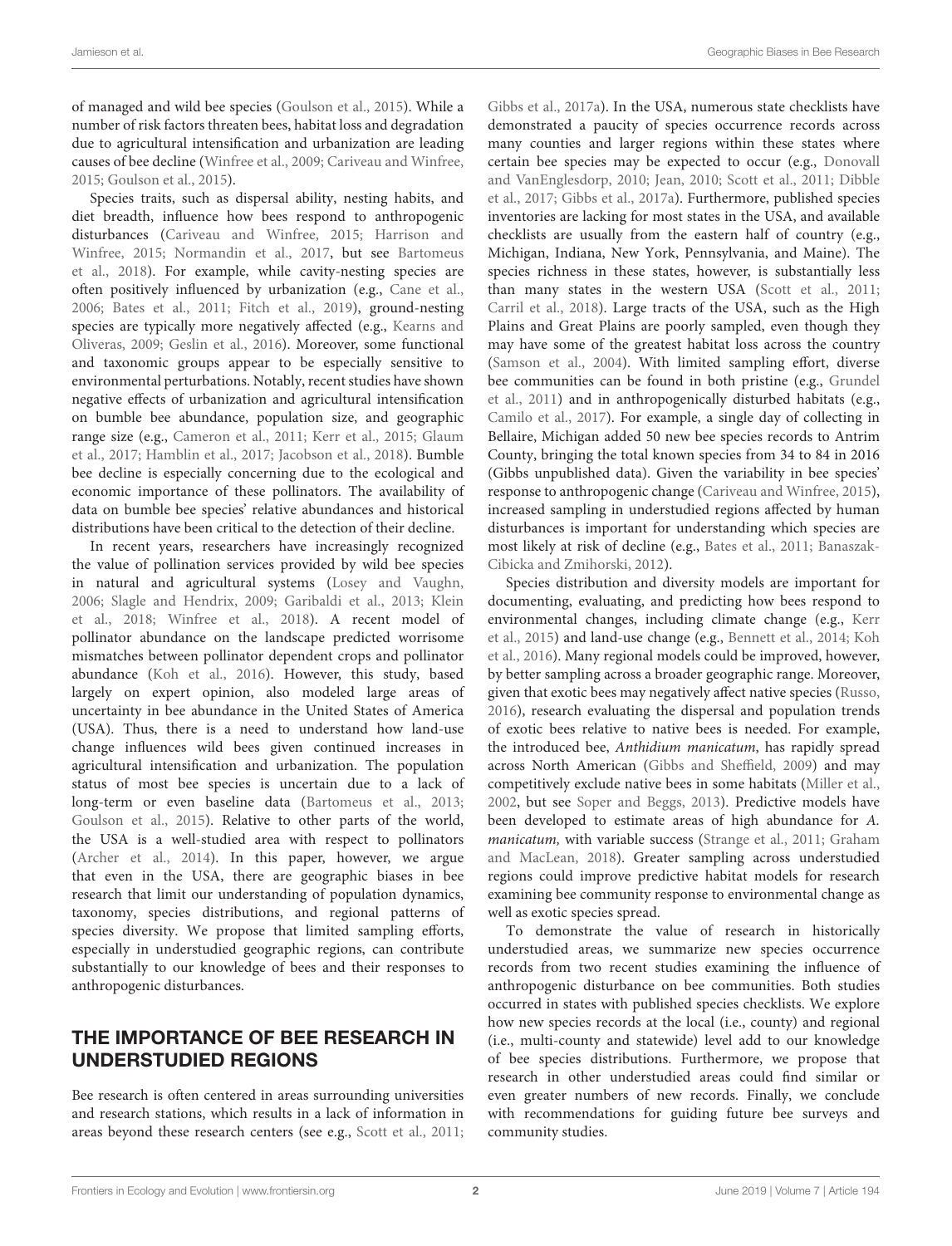of managed and wild bee species [\(Goulson et al., 2015\)](#page-6-1). While a number of risk factors threaten bees, habitat loss and degradation due to agricultural intensification and urbanization are leading causes of bee decline [\(Winfree et al., 2009;](#page-7-2) [Cariveau and Winfree,](#page-6-2) [2015;](#page-6-2) [Goulson et al., 2015\)](#page-6-1).

Species traits, such as dispersal ability, nesting habits, and diet breadth, influence how bees respond to anthropogenic disturbances [\(Cariveau and Winfree, 2015;](#page-6-2) Harrison and Winfree, [2015;](#page-6-3) [Normandin et al., 2017,](#page-7-3) but see Bartomeus et al., [2018\)](#page-5-0). For example, while cavity-nesting species are often positively influenced by urbanization (e.g., [Cane et al.,](#page-5-1) [2006;](#page-5-1) [Bates et al., 2011;](#page-5-2) [Fitch et al., 2019\)](#page-6-4), ground-nesting species are typically more negatively affected (e.g., Kearns and Oliveras, [2009;](#page-6-5) [Geslin et al., 2016\)](#page-6-6). Moreover, some functional and taxonomic groups appear to be especially sensitive to environmental perturbations. Notably, recent studies have shown negative effects of urbanization and agricultural intensification on bumble bee abundance, population size, and geographic range size (e.g., [Cameron et al., 2011;](#page-5-3) [Kerr et al., 2015;](#page-6-7) Glaum et al., [2017;](#page-6-8) [Hamblin et al., 2017;](#page-6-9) [Jacobson et al., 2018\)](#page-6-10). Bumble bee decline is especially concerning due to the ecological and economic importance of these pollinators. The availability of data on bumble bee species' relative abundances and historical distributions have been critical to the detection of their decline.

In recent years, researchers have increasingly recognized the value of pollination services provided by wild bee species in natural and agricultural systems [\(Losey and Vaughn,](#page-6-11) [2006;](#page-6-11) [Slagle and Hendrix, 2009;](#page-7-4) [Garibaldi et al., 2013;](#page-6-12) Klein et al., [2018;](#page-6-13) [Winfree et al., 2018\)](#page-7-5). A recent model of pollinator abundance on the landscape predicted worrisome mismatches between pollinator dependent crops and pollinator abundance [\(Koh et al., 2016\)](#page-6-14). However, this study, based largely on expert opinion, also modeled large areas of uncertainty in bee abundance in the United States of America (USA). Thus, there is a need to understand how land-use change influences wild bees given continued increases in agricultural intensification and urbanization. The population status of most bee species is uncertain due to a lack of long-term or even baseline data [\(Bartomeus et al., 2013;](#page-5-4) [Goulson et al., 2015\)](#page-6-1). Relative to other parts of the world, the USA is a well-studied area with respect to pollinators [\(Archer et al., 2014\)](#page-5-5). In this paper, however, we argue that even in the USA, there are geographic biases in bee research that limit our understanding of population dynamics, taxonomy, species distributions, and regional patterns of species diversity. We propose that limited sampling efforts, especially in understudied geographic regions, can contribute substantially to our knowledge of bees and their responses to anthropogenic disturbances.

### THE IMPORTANCE OF BEE RESEARCH IN UNDERSTUDIED REGIONS

Bee research is often centered in areas surrounding universities and research stations, which results in a lack of information in areas beyond these research centers (see e.g., [Scott et al., 2011;](#page-7-6) [Gibbs et al., 2017a\)](#page-6-15). In the USA, numerous state checklists have demonstrated a paucity of species occurrence records across many counties and larger regions within these states where certain bee species may be expected to occur (e.g., Donovall and VanEnglesdorp, [2010;](#page-6-16) [Jean, 2010;](#page-6-17) [Scott et al., 2011;](#page-7-6) Dibble et al., [2017;](#page-6-18) [Gibbs et al., 2017a\)](#page-6-15). Furthermore, published species inventories are lacking for most states in the USA, and available checklists are usually from the eastern half of country (e.g., Michigan, Indiana, New York, Pennsylvania, and Maine). The species richness in these states, however, is substantially less than many states in the western USA [\(Scott et al., 2011;](#page-7-6) [Carril et al., 2018\)](#page-6-19). Large tracts of the USA, such as the High Plains and Great Plains are poorly sampled, even though they may have some of the greatest habitat loss across the country [\(Samson et al., 2004\)](#page-7-7). With limited sampling effort, diverse bee communities can be found in both pristine (e.g., Grundel et al., [2011\)](#page-6-20) and in anthropogenically disturbed habitats (e.g., [Camilo et al., 2017\)](#page-5-6). For example, a single day of collecting in Bellaire, Michigan added 50 new bee species records to Antrim County, bringing the total known species from 34 to 84 in 2016 (Gibbs unpublished data). Given the variability in bee species' response to anthropogenic change [\(Cariveau and Winfree, 2015\)](#page-6-2), increased sampling in understudied regions affected by human disturbances is important for understanding which species are most likely at risk of decline (e.g., [Bates et al., 2011;](#page-5-2) Banaszak-Cibicka and Zmihorski, [2012\)](#page-5-7).

Species distribution and diversity models are important for documenting, evaluating, and predicting how bees respond to environmental changes, including climate change (e.g., Kerr et al., [2015\)](#page-6-7) and land-use change (e.g., [Bennett et al., 2014;](#page-5-8) Koh et al., [2016\)](#page-6-14). Many regional models could be improved, however, by better sampling across a broader geographic range. Moreover, given that exotic bees may negatively affect native species [\(Russo,](#page-7-8) [2016\)](#page-7-8), research evaluating the dispersal and population trends of exotic bees relative to native bees is needed. For example, the introduced bee, Anthidium manicatum, has rapidly spread across North American [\(Gibbs and Sheffield, 2009\)](#page-6-21) and may competitively exclude native bees in some habitats [\(Miller et al.,](#page-6-22) [2002,](#page-6-22) but see [Soper and Beggs, 2013\)](#page-7-9). Predictive models have been developed to estimate areas of high abundance for A. manicatum, with variable success [\(Strange et al., 2011;](#page-7-10) Graham and MacLean, [2018\)](#page-6-23). Greater sampling across understudied regions could improve predictive habitat models for research examining bee community response to environmental change as well as exotic species spread.

To demonstrate the value of research in historically understudied areas, we summarize new species occurrence records from two recent studies examining the influence of anthropogenic disturbance on bee communities. Both studies occurred in states with published species checklists. We explore how new species records at the local (i.e., county) and regional (i.e., multi-county and statewide) level add to our knowledge of bee species distributions. Furthermore, we propose that research in other understudied areas could find similar or even greater numbers of new records. Finally, we conclude with recommendations for guiding future bee surveys and community studies.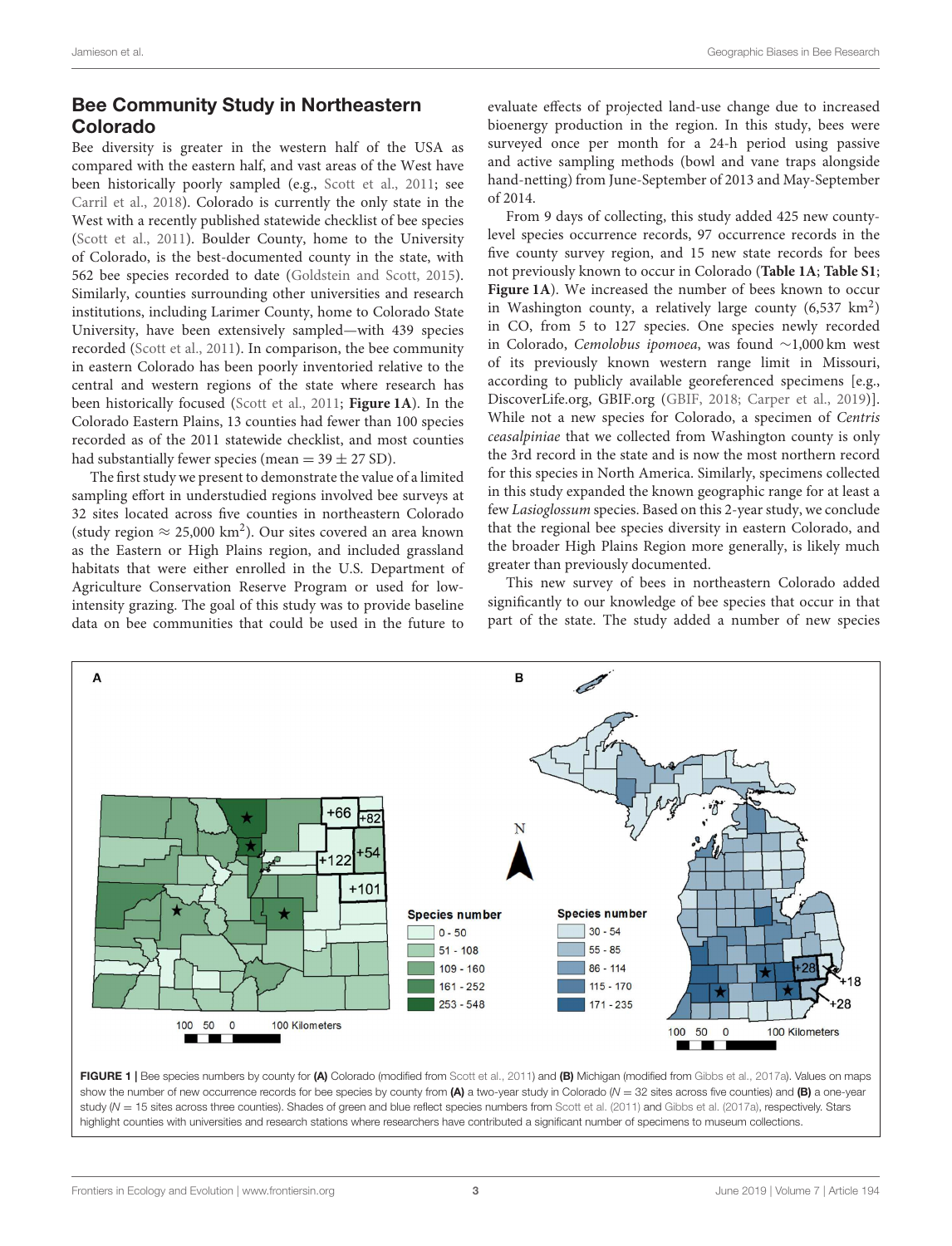# Bee Community Study in Northeastern Colorado

Bee diversity is greater in the western half of the USA as compared with the eastern half, and vast areas of the West have been historically poorly sampled (e.g., [Scott et al., 2011;](#page-7-6) see [Carril et al., 2018\)](#page-6-19). Colorado is currently the only state in the West with a recently published statewide checklist of bee species [\(Scott et al., 2011\)](#page-7-6). Boulder County, home to the University of Colorado, is the best-documented county in the state, with 562 bee species recorded to date [\(Goldstein and Scott, 2015\)](#page-6-24). Similarly, counties surrounding other universities and research institutions, including Larimer County, home to Colorado State University, have been extensively sampled—with 439 species recorded [\(Scott et al., 2011\)](#page-7-6). In comparison, the bee community in eastern Colorado has been poorly inventoried relative to the central and western regions of the state where research has been historically focused [\(Scott et al., 2011;](#page-7-6) **[Figure 1A](#page-2-0)**). In the Colorado Eastern Plains, 13 counties had fewer than 100 species recorded as of the 2011 statewide checklist, and most counties had substantially fewer species (mean  $=$  39  $\pm$  27 SD).

The first study we present to demonstrate the value of a limited sampling effort in understudied regions involved bee surveys at 32 sites located across five counties in northeastern Colorado (study region  $\approx$  25,000 km<sup>2</sup>). Our sites covered an area known as the Eastern or High Plains region, and included grassland habitats that were either enrolled in the U.S. Department of Agriculture Conservation Reserve Program or used for lowintensity grazing. The goal of this study was to provide baseline data on bee communities that could be used in the future to evaluate effects of projected land-use change due to increased bioenergy production in the region. In this study, bees were surveyed once per month for a 24-h period using passive and active sampling methods (bowl and vane traps alongside hand-netting) from June-September of 2013 and May-September of 2014.

From 9 days of collecting, this study added 425 new countylevel species occurrence records, 97 occurrence records in the five county survey region, and 15 new state records for bees not previously known to occur in Colorado (**[Table 1A](#page-4-0)**; **[Table S1](#page-5-9)**; [Figure 1A](#page-2-0)). We increased the number of bees known to occur in Washington county, a relatively large county  $(6,537 \text{ km}^2)$ in CO, from 5 to 127 species. One species newly recorded in Colorado, Cemolobus ipomoea, was found ∼1,000 km west of its previously known western range limit in Missouri, according to publicly available georeferenced specimens [e.g., [DiscoverLife.org,](https://www.discoverlife.org/) [GBIF.org](https://www.gbif.org/) [\(GBIF, 2018;](#page-6-25) [Carper et al., 2019\)](#page-6-26)]. While not a new species for Colorado, a specimen of Centris ceasalpiniae that we collected from Washington county is only the 3rd record in the state and is now the most northern record for this species in North America. Similarly, specimens collected in this study expanded the known geographic range for at least a few Lasioglossum species. Based on this 2-year study, we conclude that the regional bee species diversity in eastern Colorado, and the broader High Plains Region more generally, is likely much greater than previously documented.

This new survey of bees in northeastern Colorado added significantly to our knowledge of bee species that occur in that part of the state. The study added a number of new species



<span id="page-2-0"></span>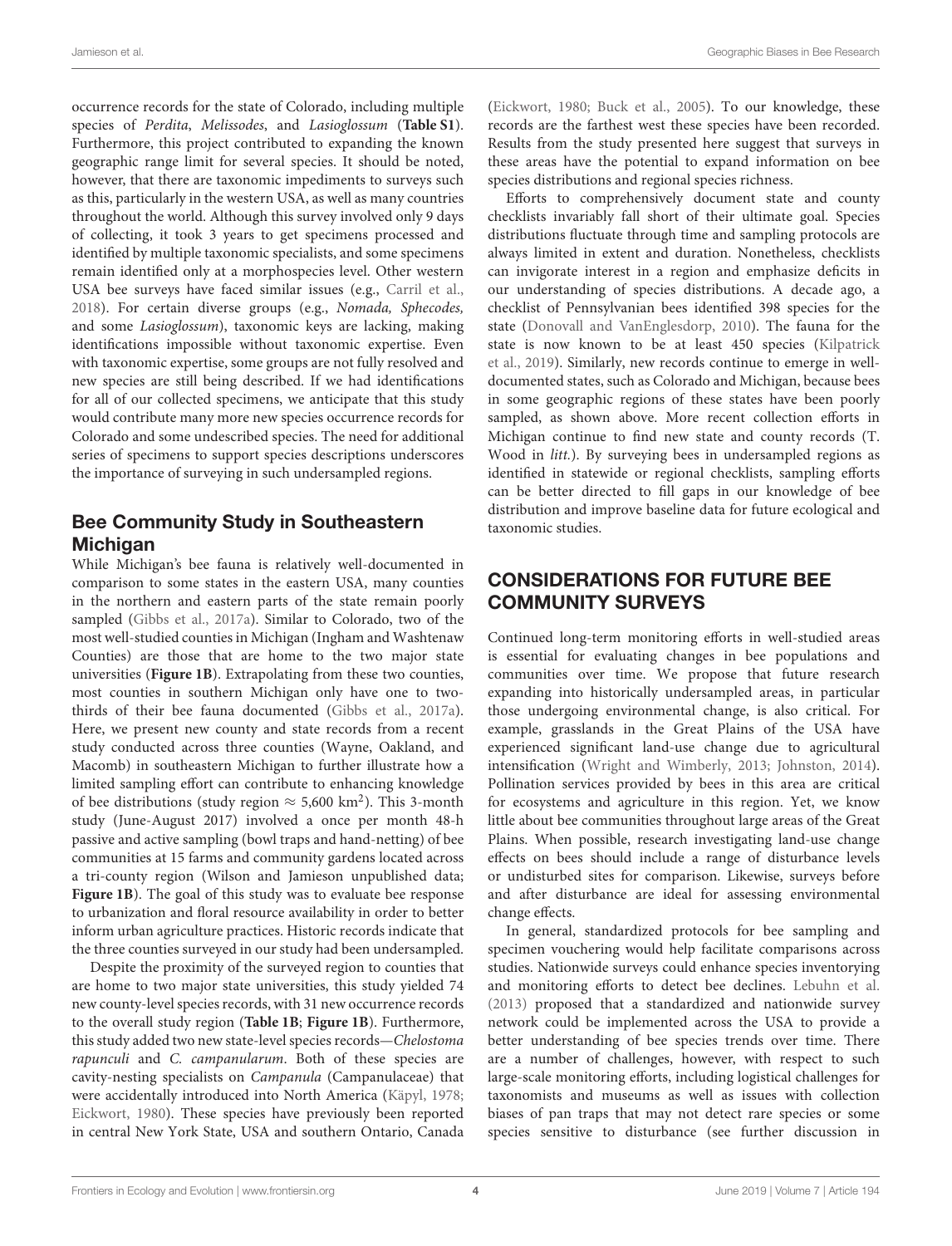occurrence records for the state of Colorado, including multiple species of Perdita, Melissodes, and Lasioglossum (**Table S1**). Furthermore, this project contributed to expanding the known geographic range limit for several species. It should be noted, however, that there are taxonomic impediments to surveys such as this, particularly in the western USA, as well as many countries throughout the world. Although this survey involved only 9 days of collecting, it took 3 years to get specimens processed and identified by multiple taxonomic specialists, and some specimens remain identified only at a morphospecies level. Other western USA bee surveys have faced similar issues (e.g., [Carril et al.,](#page-6-19) [2018\)](#page-6-19). For certain diverse groups (e.g., Nomada, Sphecodes, and some Lasioglossum), taxonomic keys are lacking, making identifications impossible without taxonomic expertise. Even with taxonomic expertise, some groups are not fully resolved and new species are still being described. If we had identifications for all of our collected specimens, we anticipate that this study would contribute many more new species occurrence records for Colorado and some undescribed species. The need for additional series of specimens to support species descriptions underscores the importance of surveying in such undersampled regions.

## Bee Community Study in Southeastern **Michigan**

While Michigan's bee fauna is relatively well-documented in comparison to some states in the eastern USA, many counties in the northern and eastern parts of the state remain poorly sampled [\(Gibbs et al., 2017a\)](#page-6-15). Similar to Colorado, two of the most well-studied counties in Michigan (Ingham and Washtenaw Counties) are those that are home to the two major state universities (**[Figure 1B](#page-2-0)**). Extrapolating from these two counties, most counties in southern Michigan only have one to twothirds of their bee fauna documented [\(Gibbs et al., 2017a\)](#page-6-15). Here, we present new county and state records from a recent study conducted across three counties (Wayne, Oakland, and Macomb) in southeastern Michigan to further illustrate how a limited sampling effort can contribute to enhancing knowledge of bee distributions (study region  $\approx$  5,600 km<sup>2</sup>). This 3-month study (June-August 2017) involved a once per month 48-h passive and active sampling (bowl traps and hand-netting) of bee communities at 15 farms and community gardens located across a tri-county region (Wilson and Jamieson unpublished data; **[Figure 1B](#page-2-0)**). The goal of this study was to evaluate bee response to urbanization and floral resource availability in order to better inform urban agriculture practices. Historic records indicate that the three counties surveyed in our study had been undersampled.

Despite the proximity of the surveyed region to counties that are home to two major state universities, this study yielded 74 new county-level species records, with 31 new occurrence records to the overall study region (**[Table 1B](#page-4-0)**; **[Figure 1B](#page-2-0)**). Furthermore, this study added two new state-level species records—Chelostoma rapunculi and C. campanularum. Both of these species are cavity-nesting specialists on Campanula (Campanulaceae) that were accidentally introduced into North America [\(Käpyl, 1978;](#page-6-27) [Eickwort, 1980\)](#page-6-28). These species have previously been reported in central New York State, USA and southern Ontario, Canada [\(Eickwort, 1980;](#page-6-28) [Buck et al., 2005\)](#page-5-10). To our knowledge, these records are the farthest west these species have been recorded. Results from the study presented here suggest that surveys in these areas have the potential to expand information on bee species distributions and regional species richness.

Efforts to comprehensively document state and county checklists invariably fall short of their ultimate goal. Species distributions fluctuate through time and sampling protocols are always limited in extent and duration. Nonetheless, checklists can invigorate interest in a region and emphasize deficits in our understanding of species distributions. A decade ago, a checklist of Pennsylvanian bees identified 398 species for the state [\(Donovall and VanEnglesdorp, 2010\)](#page-6-16). The fauna for the state is now known to be at least 450 species (Kilpatrick et al., [2019\)](#page-6-29). Similarly, new records continue to emerge in welldocumented states, such as Colorado and Michigan, because bees in some geographic regions of these states have been poorly sampled, as shown above. More recent collection efforts in Michigan continue to find new state and county records (T. Wood in *litt.*). By surveying bees in undersampled regions as identified in statewide or regional checklists, sampling efforts can be better directed to fill gaps in our knowledge of bee distribution and improve baseline data for future ecological and taxonomic studies.

### CONSIDERATIONS FOR FUTURE BEE COMMUNITY SURVEYS

Continued long-term monitoring efforts in well-studied areas is essential for evaluating changes in bee populations and communities over time. We propose that future research expanding into historically undersampled areas, in particular those undergoing environmental change, is also critical. For example, grasslands in the Great Plains of the USA have experienced significant land-use change due to agricultural intensification [\(Wright and Wimberly, 2013;](#page-7-11) [Johnston, 2014\)](#page-6-30). Pollination services provided by bees in this area are critical for ecosystems and agriculture in this region. Yet, we know little about bee communities throughout large areas of the Great Plains. When possible, research investigating land-use change effects on bees should include a range of disturbance levels or undisturbed sites for comparison. Likewise, surveys before and after disturbance are ideal for assessing environmental change effects.

In general, standardized protocols for bee sampling and specimen vouchering would help facilitate comparisons across studies. Nationwide surveys could enhance species inventorying and monitoring efforts to detect bee declines. [Lebuhn et al.](#page-6-31) [\(2013\)](#page-6-31) proposed that a standardized and nationwide survey network could be implemented across the USA to provide a better understanding of bee species trends over time. There are a number of challenges, however, with respect to such large-scale monitoring efforts, including logistical challenges for taxonomists and museums as well as issues with collection biases of pan traps that may not detect rare species or some species sensitive to disturbance (see further discussion in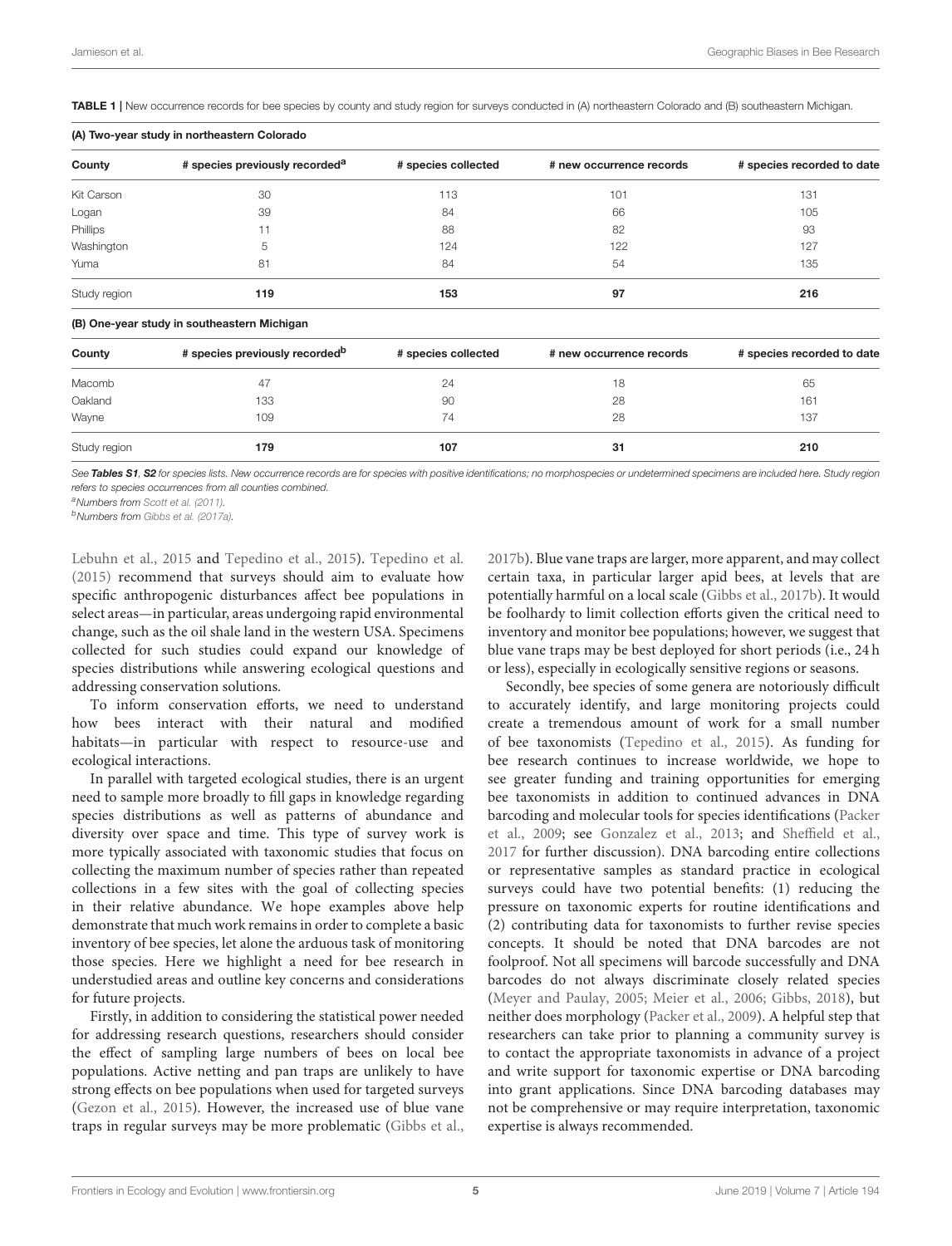(A) Two-year study in northeastern Colorado

<span id="page-4-0"></span>TABLE 1 | New occurrence records for bee species by county and study region for surveys conducted in (A) northeastern Colorado and (B) southeastern Michigan.

| County       | # species previously recorded <sup>a</sup>  | # species collected | # new occurrence records | # species recorded to date |
|--------------|---------------------------------------------|---------------------|--------------------------|----------------------------|
| Kit Carson   | 30                                          | 113                 | 101                      | 131                        |
| Logan        | 39                                          | 84                  | 66                       | 105                        |
| Phillips     | 11                                          | 88                  | 82                       | 93                         |
| Washington   | 5                                           | 124                 | 122                      | 127                        |
| Yuma         | 81                                          | 84                  | 54                       | 135                        |
| Study region | 119                                         | 153                 | 97                       | 216                        |
|              | (B) One-year study in southeastern Michigan |                     |                          |                            |
| County       | # species previously recorded <sup>b</sup>  | # species collected | # new occurrence records | # species recorded to date |

Macomb  $47$   $47$   $24$   $18$ Oakland 133 90 28 161 Wayne 109 74 28 137 Study region 179 107 31 210

See [Tables S1](#page-5-9), [S2](#page-5-9) for species lists. New occurrence records are for species with positive identifications; no morphospecies or undetermined specimens are included here. Study region *refers to species occurrences from all counties combined.*

*<sup>a</sup>Numbers from [Scott et al. \(2011\)](#page-7-6).*

*<sup>b</sup>Numbers from [Gibbs et al. \(2017a\)](#page-6-15).*

[Lebuhn et al., 2015](#page-6-32) and [Tepedino et al., 2015\)](#page-7-12). [Tepedino et al.](#page-7-12) [\(2015\)](#page-7-12) recommend that surveys should aim to evaluate how specific anthropogenic disturbances affect bee populations in select areas—in particular, areas undergoing rapid environmental change, such as the oil shale land in the western USA. Specimens collected for such studies could expand our knowledge of species distributions while answering ecological questions and addressing conservation solutions.

To inform conservation efforts, we need to understand how bees interact with their natural and modified habitats—in particular with respect to resource-use and ecological interactions.

In parallel with targeted ecological studies, there is an urgent need to sample more broadly to fill gaps in knowledge regarding species distributions as well as patterns of abundance and diversity over space and time. This type of survey work is more typically associated with taxonomic studies that focus on collecting the maximum number of species rather than repeated collections in a few sites with the goal of collecting species in their relative abundance. We hope examples above help demonstrate that much work remains in order to complete a basic inventory of bee species, let alone the arduous task of monitoring those species. Here we highlight a need for bee research in understudied areas and outline key concerns and considerations for future projects.

Firstly, in addition to considering the statistical power needed for addressing research questions, researchers should consider the effect of sampling large numbers of bees on local bee populations. Active netting and pan traps are unlikely to have strong effects on bee populations when used for targeted surveys [\(Gezon et al., 2015\)](#page-6-33). However, the increased use of blue vane traps in regular surveys may be more problematic [\(Gibbs et al.,](#page-6-34) [2017b\)](#page-6-34). Blue vane traps are larger, more apparent, and may collect certain taxa, in particular larger apid bees, at levels that are potentially harmful on a local scale [\(Gibbs et al., 2017b\)](#page-6-34). It would be foolhardy to limit collection efforts given the critical need to inventory and monitor bee populations; however, we suggest that blue vane traps may be best deployed for short periods (i.e., 24 h or less), especially in ecologically sensitive regions or seasons.

Secondly, bee species of some genera are notoriously difficult to accurately identify, and large monitoring projects could create a tremendous amount of work for a small number of bee taxonomists [\(Tepedino et al., 2015\)](#page-7-12). As funding for bee research continues to increase worldwide, we hope to see greater funding and training opportunities for emerging bee taxonomists in addition to continued advances in DNA barcoding and molecular tools for species identifications (Packer et al., [2009;](#page-7-13) see [Gonzalez et al., 2013;](#page-6-35) and [Sheffield et al.,](#page-7-14) [2017](#page-7-14) for further discussion). DNA barcoding entire collections or representative samples as standard practice in ecological surveys could have two potential benefits: (1) reducing the pressure on taxonomic experts for routine identifications and (2) contributing data for taxonomists to further revise species concepts. It should be noted that DNA barcodes are not foolproof. Not all specimens will barcode successfully and DNA barcodes do not always discriminate closely related species [\(Meyer and Paulay, 2005;](#page-6-36) [Meier et al., 2006;](#page-6-37) [Gibbs, 2018\)](#page-6-38), but neither does morphology [\(Packer et al., 2009\)](#page-7-13). A helpful step that researchers can take prior to planning a community survey is to contact the appropriate taxonomists in advance of a project and write support for taxonomic expertise or DNA barcoding into grant applications. Since DNA barcoding databases may not be comprehensive or may require interpretation, taxonomic expertise is always recommended.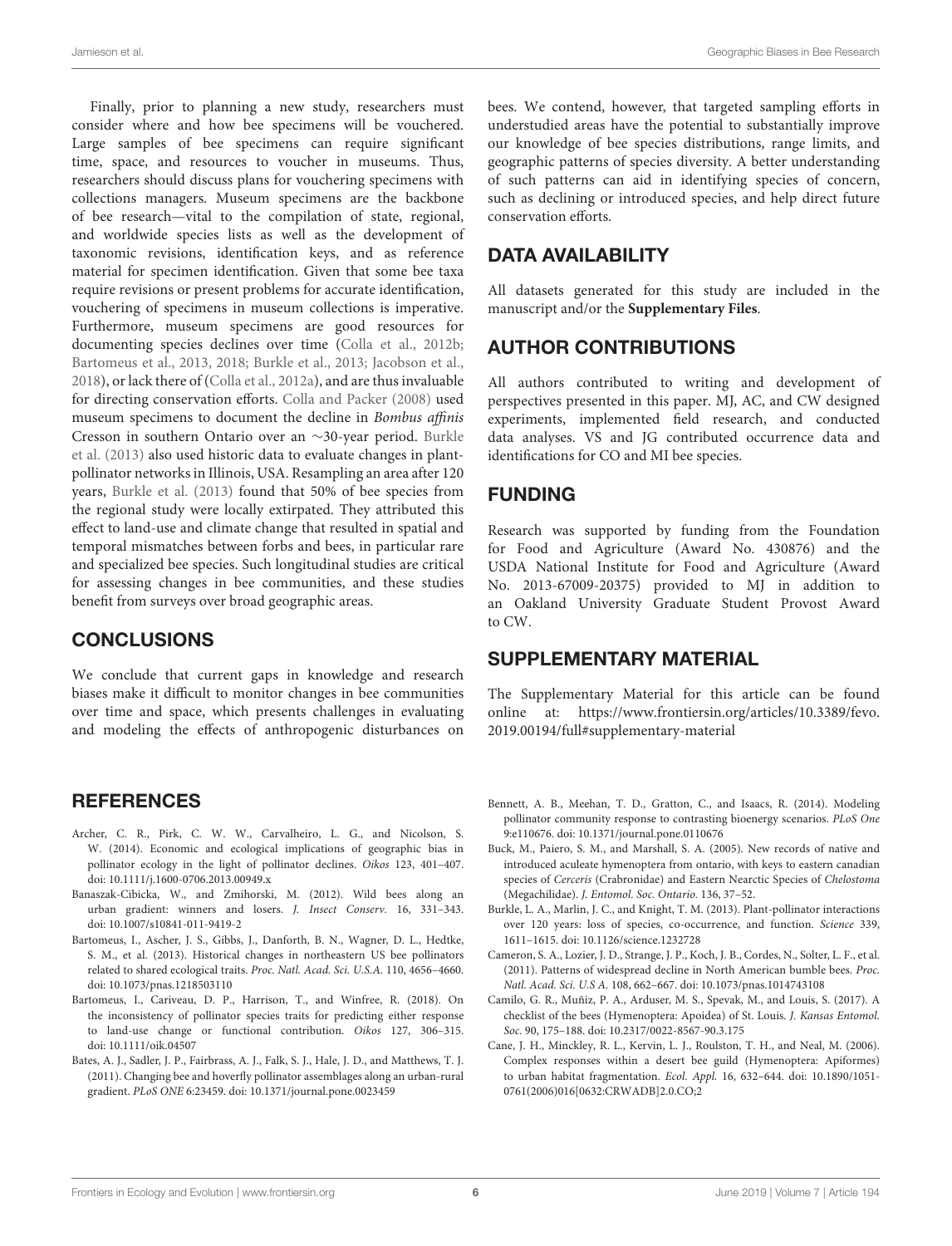Jamieson et al. Geographic Biases in Bee Research

Finally, prior to planning a new study, researchers must consider where and how bee specimens will be vouchered. Large samples of bee specimens can require significant time, space, and resources to voucher in museums. Thus, researchers should discuss plans for vouchering specimens with collections managers. Museum specimens are the backbone of bee research—vital to the compilation of state, regional, and worldwide species lists as well as the development of taxonomic revisions, identification keys, and as reference material for specimen identification. Given that some bee taxa require revisions or present problems for accurate identification, vouchering of specimens in museum collections is imperative. Furthermore, museum specimens are good resources for documenting species declines over time [\(Colla et al., 2012b;](#page-6-39) [Bartomeus et al., 2013,](#page-5-4) [2018;](#page-5-0) [Burkle et al., 2013;](#page-5-11) [Jacobson et al.,](#page-6-10) [2018\)](#page-6-10), or lack there of [\(Colla et al., 2012a\)](#page-6-40), and are thus invaluable for directing conservation efforts. [Colla and Packer \(2008\)](#page-6-41) used museum specimens to document the decline in Bombus affinis Cresson in southern Ontario over an ∼30-year period. Burkle et al. [\(2013\)](#page-5-11) also used historic data to evaluate changes in plantpollinator networks in Illinois, USA. Resampling an area after 120 years, [Burkle et al. \(2013\)](#page-5-11) found that 50% of bee species from the regional study were locally extirpated. They attributed this effect to land-use and climate change that resulted in spatial and temporal mismatches between forbs and bees, in particular rare and specialized bee species. Such longitudinal studies are critical for assessing changes in bee communities, and these studies benefit from surveys over broad geographic areas.

#### **CONCLUSIONS**

We conclude that current gaps in knowledge and research biases make it difficult to monitor changes in bee communities over time and space, which presents challenges in evaluating and modeling the effects of anthropogenic disturbances on

#### **REFERENCES**

- <span id="page-5-5"></span>Archer, C. R., Pirk, C. W. W., Carvalheiro, L. G., and Nicolson, S. W. (2014). Economic and ecological implications of geographic bias in pollinator ecology in the light of pollinator declines. Oikos 123, 401–407. doi: [10.1111/j.1600-0706.2013.00949.x](https://doi.org/10.1111/j.1600-0706.2013.00949.x)
- <span id="page-5-7"></span>Banaszak-Cibicka, W., and Zmihorski, M. (2012). Wild bees along an urban gradient: winners and losers. J. Insect Conserv. 16, 331–343. doi: [10.1007/s10841-011-9419-2](https://doi.org/10.1007/s10841-011-9419-2)
- <span id="page-5-4"></span>Bartomeus, I., Ascher, J. S., Gibbs, J., Danforth, B. N., Wagner, D. L., Hedtke, S. M., et al. (2013). Historical changes in northeastern US bee pollinators related to shared ecological traits. Proc. Natl. Acad. Sci. U.S.A. 110, 4656–4660. doi: [10.1073/pnas.1218503110](https://doi.org/10.1073/pnas.1218503110)
- <span id="page-5-0"></span>Bartomeus, I., Cariveau, D. P., Harrison, T., and Winfree, R. (2018). On the inconsistency of pollinator species traits for predicting either response to land-use change or functional contribution. Oikos 127, 306–315. doi: [10.1111/oik.04507](https://doi.org/10.1111/oik.04507)
- <span id="page-5-2"></span>Bates, A. J., Sadler, J. P., Fairbrass, A. J., Falk, S. J., Hale, J. D., and Matthews, T. J. (2011). Changing bee and hoverfly pollinator assemblages along an urban-rural gradient. PLoS ONE 6:23459. doi: [10.1371/journal.pone.0023459](https://doi.org/10.1371/journal.pone.0023459)

bees. We contend, however, that targeted sampling efforts in understudied areas have the potential to substantially improve our knowledge of bee species distributions, range limits, and geographic patterns of species diversity. A better understanding of such patterns can aid in identifying species of concern, such as declining or introduced species, and help direct future conservation efforts.

## DATA AVAILABILITY

All datasets generated for this study are included in the manuscript and/or the **[Supplementary Files](#page-5-9)**.

### AUTHOR CONTRIBUTIONS

All authors contributed to writing and development of perspectives presented in this paper. MJ, AC, and CW designed experiments, implemented field research, and conducted data analyses. VS and JG contributed occurrence data and identifications for CO and MI bee species.

#### FUNDING

Research was supported by funding from the Foundation for Food and Agriculture (Award No. 430876) and the USDA National Institute for Food and Agriculture (Award No. 2013-67009-20375) provided to MJ in addition to an Oakland University Graduate Student Provost Award to CW.

### SUPPLEMENTARY MATERIAL

<span id="page-5-9"></span>The Supplementary Material for this article can be found [online at: https://www.frontiersin.org/articles/10.3389/fevo.](https://www.frontiersin.org/articles/10.3389/fevo.2019.00194/full#supplementary-material) 2019.00194/full#supplementary-material

- <span id="page-5-8"></span>Bennett, A. B., Meehan, T. D., Gratton, C., and Isaacs, R. (2014). Modeling pollinator community response to contrasting bioenergy scenarios. PLoS One 9:e110676. doi: [10.1371/journal.pone.0110676](https://doi.org/10.1371/journal.pone.0110676)
- <span id="page-5-10"></span>Buck, M., Paiero, S. M., and Marshall, S. A. (2005). New records of native and introduced aculeate hymenoptera from ontario, with keys to eastern canadian species of Cerceris (Crabronidae) and Eastern Nearctic Species of Chelostoma (Megachilidae). J. Entomol. Soc. Ontario. 136, 37–52.
- <span id="page-5-11"></span>Burkle, L. A., Marlin, J. C., and Knight, T. M. (2013). Plant-pollinator interactions over 120 years: loss of species, co-occurrence, and function. Science 339, 1611–1615. doi: [10.1126/science.1232728](https://doi.org/10.1126/science.1232728)
- <span id="page-5-3"></span>Cameron, S. A., Lozier, J. D., Strange, J. P., Koch, J. B., Cordes, N., Solter, L. F., et al. (2011). Patterns of widespread decline in North American bumble bees. Proc. Natl. Acad. Sci. U.S A. 108, 662–667. doi: [10.1073/pnas.1014743108](https://doi.org/10.1073/pnas.1014743108)
- <span id="page-5-6"></span>Camilo, G. R., Muñiz, P. A., Arduser, M. S., Spevak, M., and Louis, S. (2017). A checklist of the bees (Hymenoptera: Apoidea) of St. Louis. J. Kansas Entomol. Soc. 90, 175–188. doi: [10.2317/0022-8567-90.3.175](https://doi.org/10.2317/0022-8567-90.3.175)
- <span id="page-5-1"></span>Cane, J. H., Minckley, R. L., Kervin, L. J., Roulston, T. H., and Neal, M. (2006). Complex responses within a desert bee guild (Hymenoptera: Apiformes) to urban habitat fragmentation. Ecol. Appl. 16, 632–644. doi: 10.1890/1051- [0761\(2006\)016\[0632:CRWADB\]2.0.CO;2](https://doi.org/10.1890/1051-0761(2006)016[0632:CRWADB]2.0.CO;2)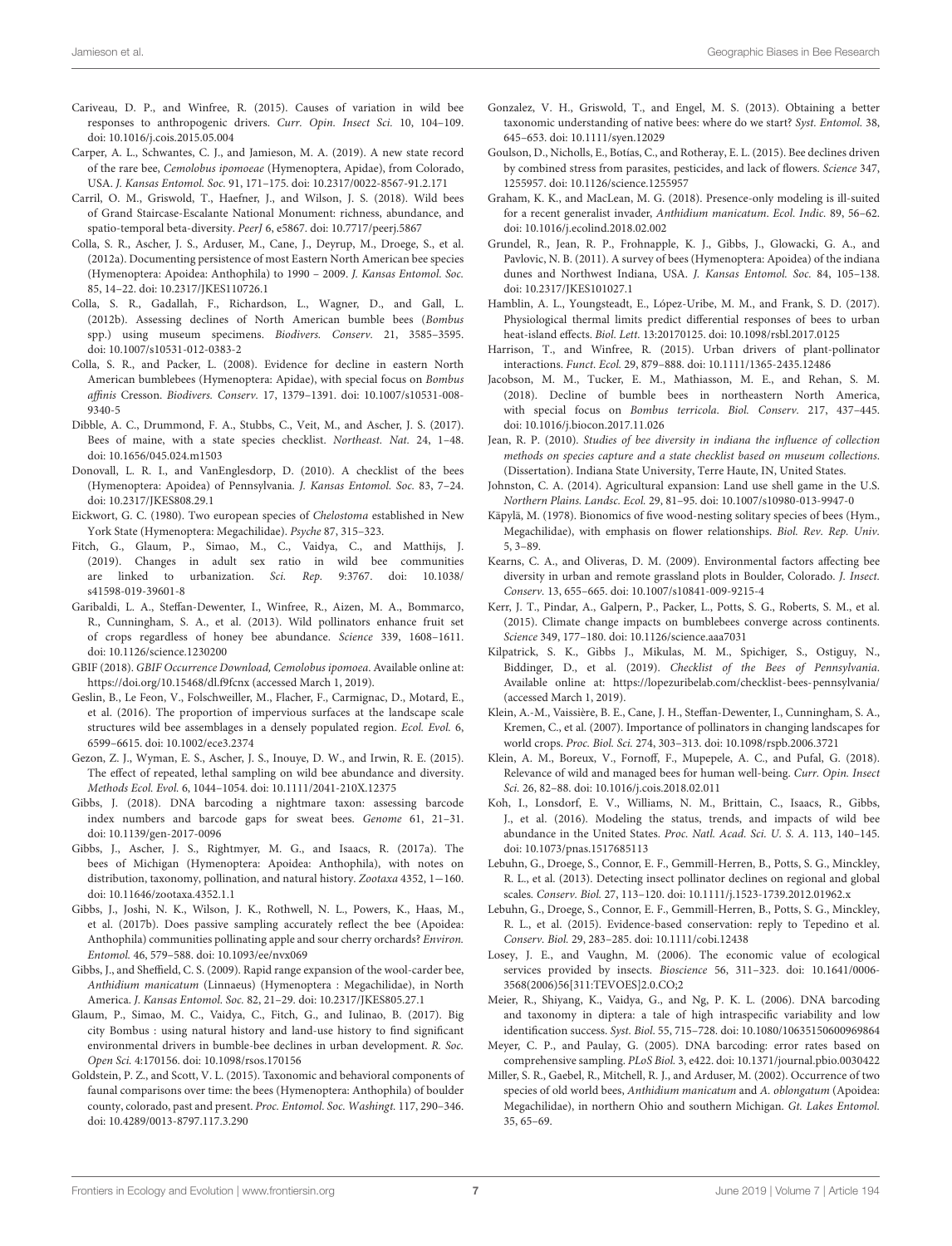- <span id="page-6-2"></span>Cariveau, D. P., and Winfree, R. (2015). Causes of variation in wild bee responses to anthropogenic drivers. Curr. Opin. Insect Sci. 10, 104–109. doi: [10.1016/j.cois.2015.05.004](https://doi.org/10.1016/j.cois.2015.05.004)
- <span id="page-6-26"></span>Carper, A. L., Schwantes, C. J., and Jamieson, M. A. (2019). A new state record of the rare bee, Cemolobus ipomoeae (Hymenoptera, Apidae), from Colorado, USA. J. Kansas Entomol. Soc. 91, 171–175. doi: [10.2317/0022-8567-91.2.171](https://doi.org/10.2317/0022-8567-91.2.171)
- <span id="page-6-19"></span>Carril, O. M., Griswold, T., Haefner, J., and Wilson, J. S. (2018). Wild bees of Grand Staircase-Escalante National Monument: richness, abundance, and spatio-temporal beta-diversity. PeerJ 6, e5867. doi: [10.7717/peerj.5867](https://doi.org/10.7717/peerj.5867)
- <span id="page-6-40"></span>Colla, S. R., Ascher, J. S., Arduser, M., Cane, J., Deyrup, M., Droege, S., et al. (2012a). Documenting persistence of most Eastern North American bee species (Hymenoptera: Apoidea: Anthophila) to 1990 – 2009. J. Kansas Entomol. Soc. 85, 14–22. doi: [10.2317/JKES110726.1](https://doi.org/10.2317/JKES110726.1)
- <span id="page-6-39"></span>Colla, S. R., Gadallah, F., Richardson, L., Wagner, D., and Gall, L. (2012b). Assessing declines of North American bumble bees (Bombus spp.) using museum specimens. Biodivers. Conserv. 21, 3585–3595. doi: [10.1007/s10531-012-0383-2](https://doi.org/10.1007/s10531-012-0383-2)
- <span id="page-6-41"></span>Colla, S. R., and Packer, L. (2008). Evidence for decline in eastern North American bumblebees (Hymenoptera: Apidae), with special focus on Bombus affinis Cresson. Biodivers. Conserv. [17, 1379–1391. doi: 10.1007/s10531-008-](https://doi.org/10.1007/s10531-008-9340-5) 9340-5
- <span id="page-6-18"></span>Dibble, A. C., Drummond, F. A., Stubbs, C., Veit, M., and Ascher, J. S. (2017). Bees of maine, with a state species checklist. Northeast. Nat. 24, 1–48. doi: [10.1656/045.024.m1503](https://doi.org/10.1656/045.024.m1503)
- <span id="page-6-16"></span>Donovall, L. R. I., and VanEnglesdorp, D. (2010). A checklist of the bees (Hymenoptera: Apoidea) of Pennsylvania. J. Kansas Entomol. Soc. 83, 7–24. doi: [10.2317/JKES808.29.1](https://doi.org/10.2317/JKES808.29.1)
- <span id="page-6-28"></span>Eickwort, G. C. (1980). Two european species of Chelostoma established in New York State (Hymenoptera: Megachilidae). Psyche 87, 315–323.
- <span id="page-6-4"></span>Fitch, G., Glaum, P., Simao, M., C., Vaidya, C., and Matthijs, J. (2019). Changes in adult sex ratio in wild bee communities [are linked to urbanization.](https://doi.org/10.1038/s41598-019-39601-8) Sci. Rep. 9:3767. doi: 10.1038/ s41598-019-39601-8
- <span id="page-6-12"></span>Garibaldi, L. A., Steffan-Dewenter, I., Winfree, R., Aizen, M. A., Bommarco, R., Cunningham, S. A., et al. (2013). Wild pollinators enhance fruit set of crops regardless of honey bee abundance. Science 339, 1608–1611. doi: [10.1126/science.1230200](https://doi.org/10.1126/science.1230200)
- <span id="page-6-25"></span>GBIF (2018). GBIF Occurrence Download, Cemolobus ipomoea. Available online at: https://doi.org/10.15468/dl.f9fcnx (accessed March 1, 2019).
- <span id="page-6-6"></span>Geslin, B., Le Feon, V., Folschweiller, M., Flacher, F., Carmignac, D., Motard, E., et al. (2016). The proportion of impervious surfaces at the landscape scale structures wild bee assemblages in a densely populated region. Ecol. Evol. 6, 6599–6615. doi: [10.1002/ece3.2374](https://doi.org/10.1002/ece3.2374)
- <span id="page-6-33"></span>Gezon, Z. J., Wyman, E. S., Ascher, J. S., Inouye, D. W., and Irwin, R. E. (2015). The effect of repeated, lethal sampling on wild bee abundance and diversity. Methods Ecol. Evol. 6, 1044–1054. doi: [10.1111/2041-210X.12375](https://doi.org/10.1111/2041-210X.12375)
- <span id="page-6-38"></span>Gibbs, J. (2018). DNA barcoding a nightmare taxon: assessing barcode index numbers and barcode gaps for sweat bees. Genome 61, 21–31. doi: [10.1139/gen-2017-0096](https://doi.org/10.1139/gen-2017-0096)
- <span id="page-6-15"></span>Gibbs, J., Ascher, J. S., Rightmyer, M. G., and Isaacs, R. (2017a). The bees of Michigan (Hymenoptera: Apoidea: Anthophila), with notes on distribution, taxonomy, pollination, and natural history. Zootaxa 4352, 1−160. doi: [10.11646/zootaxa.4352.1.1](https://doi.org/10.11646/zootaxa.4352.1.1)
- <span id="page-6-34"></span>Gibbs, J., Joshi, N. K., Wilson, J. K., Rothwell, N. L., Powers, K., Haas, M., et al. (2017b). Does passive sampling accurately reflect the bee (Apoidea: Anthophila) communities pollinating apple and sour cherry orchards? Environ. Entomol. 46, 579–588. doi: [10.1093/ee/nvx069](https://doi.org/10.1093/ee/nvx069)
- <span id="page-6-21"></span>Gibbs, J., and Sheffield, C. S. (2009). Rapid range expansion of the wool-carder bee, Anthidium manicatum (Linnaeus) (Hymenoptera : Megachilidae), in North America. J. Kansas Entomol. Soc. 82, 21–29. doi: [10.2317/JKES805.27.1](https://doi.org/10.2317/JKES805.27.1)
- <span id="page-6-8"></span>Glaum, P., Simao, M. C., Vaidya, C., Fitch, G., and Iulinao, B. (2017). Big city Bombus : using natural history and land-use history to find significant environmental drivers in bumble-bee declines in urban development. R. Soc. Open Sci. 4:170156. doi: [10.1098/rsos.170156](https://doi.org/10.1098/rsos.170156)
- <span id="page-6-24"></span>Goldstein, P. Z., and Scott, V. L. (2015). Taxonomic and behavioral components of faunal comparisons over time: the bees (Hymenoptera: Anthophila) of boulder county, colorado, past and present. Proc. Entomol. Soc. Washingt. 117, 290–346. doi: [10.4289/0013-8797.117.3.290](https://doi.org/10.4289/0013-8797.117.3.290)
- <span id="page-6-35"></span>Gonzalez, V. H., Griswold, T., and Engel, M. S. (2013). Obtaining a better taxonomic understanding of native bees: where do we start? Syst. Entomol. 38, 645–653. doi: [10.1111/syen.12029](https://doi.org/10.1111/syen.12029)
- <span id="page-6-1"></span>Goulson, D., Nicholls, E., Botías, C., and Rotheray, E. L. (2015). Bee declines driven by combined stress from parasites, pesticides, and lack of flowers. Science 347, 1255957. doi: [10.1126/science.1255957](https://doi.org/10.1126/science.1255957)
- <span id="page-6-23"></span>Graham, K. K., and MacLean, M. G. (2018). Presence-only modeling is ill-suited for a recent generalist invader, Anthidium manicatum. Ecol. Indic. 89, 56–62. doi: [10.1016/j.ecolind.2018.02.002](https://doi.org/10.1016/j.ecolind.2018.02.002)
- <span id="page-6-20"></span>Grundel, R., Jean, R. P., Frohnapple, K. J., Gibbs, J., Glowacki, G. A., and Pavlovic, N. B. (2011). A survey of bees (Hymenoptera: Apoidea) of the indiana dunes and Northwest Indiana, USA. J. Kansas Entomol. Soc. 84, 105–138. doi: [10.2317/JKES101027.1](https://doi.org/10.2317/JKES101027.1)
- <span id="page-6-9"></span>Hamblin, A. L., Youngsteadt, E., López-Uribe, M. M., and Frank, S. D. (2017). Physiological thermal limits predict differential responses of bees to urban heat-island effects. Biol. Lett. 13:20170125. doi: [10.1098/rsbl.2017.0125](https://doi.org/10.1098/rsbl.2017.0125)
- <span id="page-6-3"></span>Harrison, T., and Winfree, R. (2015). Urban drivers of plant-pollinator interactions. Funct. Ecol. 29, 879–888. doi: [10.1111/1365-2435.12486](https://doi.org/10.1111/1365-2435.12486)
- <span id="page-6-10"></span>Jacobson, M. M., Tucker, E. M., Mathiasson, M. E., and Rehan, S. M. (2018). Decline of bumble bees in northeastern North America, with special focus on Bombus terricola. Biol. Conserv. 217, 437–445. doi: [10.1016/j.biocon.2017.11.026](https://doi.org/10.1016/j.biocon.2017.11.026)
- <span id="page-6-17"></span>Jean, R. P. (2010). Studies of bee diversity in indiana the influence of collection methods on species capture and a state checklist based on museum collections. (Dissertation). Indiana State University, Terre Haute, IN, United States.
- <span id="page-6-30"></span>Johnston, C. A. (2014). Agricultural expansion: Land use shell game in the U.S. Northern Plains. Landsc. Ecol. 29, 81–95. doi: [10.1007/s10980-013-9947-0](https://doi.org/10.1007/s10980-013-9947-0)
- <span id="page-6-27"></span>Käpylä, M. (1978). Bionomics of five wood-nesting solitary species of bees (Hym., Megachilidae), with emphasis on flower relationships. Biol. Rev. Rep. Univ. 5, 3–89.
- <span id="page-6-5"></span>Kearns, C. A., and Oliveras, D. M. (2009). Environmental factors affecting bee diversity in urban and remote grassland plots in Boulder, Colorado. J. Insect. Conserv. 13, 655–665. doi: [10.1007/s10841-009-9215-4](https://doi.org/10.1007/s10841-009-9215-4)
- <span id="page-6-7"></span>Kerr, J. T., Pindar, A., Galpern, P., Packer, L., Potts, S. G., Roberts, S. M., et al. (2015). Climate change impacts on bumblebees converge across continents. Science 349, 177–180. doi: [10.1126/science.aaa7031](https://doi.org/10.1126/science.aaa7031)
- <span id="page-6-29"></span>Kilpatrick, S. K., Gibbs J., Mikulas, M. M., Spichiger, S., Ostiguy, N., Biddinger, D., et al. (2019). Checklist of the Bees of Pennsylvania. Available online at:<https://lopezuribelab.com/checklist-bees-pennsylvania/> (accessed March 1, 2019).
- <span id="page-6-0"></span>Klein, A.-M., Vaissière, B. E., Cane, J. H., Steffan-Dewenter, I., Cunningham, S. A., Kremen, C., et al. (2007). Importance of pollinators in changing landscapes for world crops. Proc. Biol. Sci. 274, 303–313. doi: [10.1098/rspb.2006.3721](https://doi.org/10.1098/rspb.2006.3721)
- <span id="page-6-13"></span>Klein, A. M., Boreux, V., Fornoff, F., Mupepele, A. C., and Pufal, G. (2018). Relevance of wild and managed bees for human well-being. Curr. Opin. Insect Sci. 26, 82–88. doi: [10.1016/j.cois.2018.02.011](https://doi.org/10.1016/j.cois.2018.02.011)
- <span id="page-6-14"></span>Koh, I., Lonsdorf, E. V., Williams, N. M., Brittain, C., Isaacs, R., Gibbs, J., et al. (2016). Modeling the status, trends, and impacts of wild bee abundance in the United States. Proc. Natl. Acad. Sci. U. S. A. 113, 140–145. doi: [10.1073/pnas.1517685113](https://doi.org/10.1073/pnas.1517685113)
- <span id="page-6-31"></span>Lebuhn, G., Droege, S., Connor, E. F., Gemmill-Herren, B., Potts, S. G., Minckley, R. L., et al. (2013). Detecting insect pollinator declines on regional and global scales. Conserv. Biol. 27, 113–120. doi: [10.1111/j.1523-1739.2012.01962.x](https://doi.org/10.1111/j.1523-1739.2012.01962.x)
- <span id="page-6-32"></span>Lebuhn, G., Droege, S., Connor, E. F., Gemmill-Herren, B., Potts, S. G., Minckley, R. L., et al. (2015). Evidence-based conservation: reply to Tepedino et al. Conserv. Biol. 29, 283–285. doi: [10.1111/cobi.12438](https://doi.org/10.1111/cobi.12438)
- <span id="page-6-11"></span>Losey, J. E., and Vaughn, M. (2006). The economic value of ecological services provided by insects. Bioscience 56, 311–323. doi: 10.1641/0006- [3568\(2006\)56\[311:TEVOES\]2.0.CO;2](https://doi.org/10.1641/0006-3568(2006)56[311:TEVOES]2.0.CO;2)
- <span id="page-6-37"></span>Meier, R., Shiyang, K., Vaidya, G., and Ng, P. K. L. (2006). DNA barcoding and taxonomy in diptera: a tale of high intraspecific variability and low identification success. Syst. Biol. 55, 715–728. doi: [10.1080/10635150600969864](https://doi.org/10.1080/10635150600969864)
- <span id="page-6-36"></span>Meyer, C. P., and Paulay, G. (2005). DNA barcoding: error rates based on comprehensive sampling. PLoS Biol. 3, e422. doi: [10.1371/journal.pbio.0030422](https://doi.org/10.1371/journal.pbio.0030422)
- <span id="page-6-22"></span>Miller, S. R., Gaebel, R., Mitchell, R. J., and Arduser, M. (2002). Occurrence of two species of old world bees, Anthidium manicatum and A. oblongatum (Apoidea: Megachilidae), in northern Ohio and southern Michigan. Gt. Lakes Entomol. 35, 65–69.